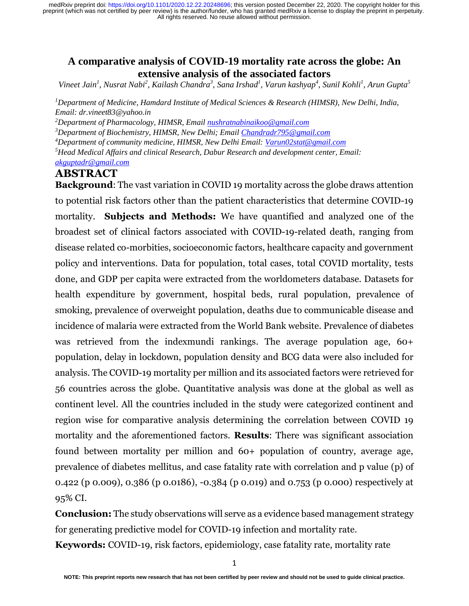# **A comparative analysis of COVID-19 mortality rate across the globe: An extensive analysis of the associated factors**

*Vineet Jain<sup>1</sup> , Nusrat Nabi<sup>2</sup> , Kailash Chandra<sup>3</sup> , Sana Irshad<sup>1</sup> , Varun kashyap<sup>4</sup> , Sunil Kohli<sup>1</sup> , Arun Gupta<sup>5</sup>*

*<sup>1</sup>Department of Medicine, Hamdard Institute of Medical Sciences & Research (HIMSR), New Delhi, India, Email: [dr.vineet83@yahoo.in](mailto:dr.vineet83@yahoo.in)* 

*<sup>2</sup>Department of Pharmacology, HIMSR, Emai[l nushratnabinaikoo@gmail.com](mailto:nushratnabinaikoo@gmail.com)*

*<sup>3</sup>Department of Biochemistry, HIMSR, New Delhi; Email [Chandradr795@gmail.com](mailto:Chandradr795@gmail.com)* 

*<sup>4</sup>Department of community medicine, HIMSR, New Delhi Email: [Varun02stat@gmail.com](mailto:Varun02stat@gmail.com)* 

*<sup>5</sup>Head Medical Affairs and clinical Research, Dabur Research and development center, Email:* 

*[akguptadr@gmail.com](mailto:akguptadr@gmail.com)* 

# **ABSTRACT**

**Background**: The vast variation in COVID 19 mortality across the globe draws attention to potential risk factors other than the patient characteristics that determine COVID-19 mortality. **Subjects and Methods:** We have quantified and analyzed one of the broadest set of clinical factors associated with COVID-19-related death, ranging from disease related co-morbities, socioeconomic factors, healthcare capacity and government policy and interventions. Data for population, total cases, total COVID mortality, tests done, and GDP per capita were extracted from the worldometers database. Datasets for health expenditure by government, hospital beds, rural population, prevalence of smoking, prevalence of overweight population, deaths due to communicable disease and incidence of malaria were extracted from the World Bank website. Prevalence of diabetes was retrieved from the indexmundi rankings. The average population age, 60+ population, delay in lockdown, population density and BCG data were also included for analysis. The COVID-19 mortality per million and its associated factors were retrieved for 56 countries across the globe. Quantitative analysis was done at the global as well as continent level. All the countries included in the study were categorized continent and region wise for comparative analysis determining the correlation between COVID 19 mortality and the aforementioned factors. **Results**: There was significant association found between mortality per million and 60+ population of country, average age, prevalence of diabetes mellitus, and case fatality rate with correlation and p value (p) of 0.422 (p 0.009), 0.386 (p 0.0186), -0.384 (p 0.019) and 0.753 (p 0.000) respectively at 95% CI.

**Conclusion:** The study observations will serve as a evidence based management strategy for generating predictive model for COVID-19 infection and mortality rate.

**Keywords:** COVID-19, risk factors, epidemiology, case fatality rate, mortality rate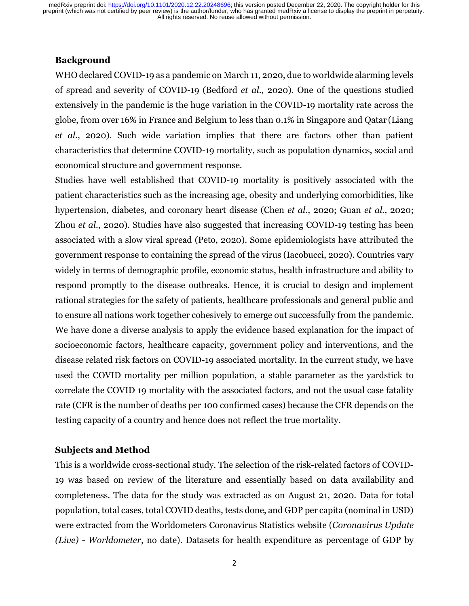### **Background**

WHO declared COVID-19 as a pandemic on March 11, 2020, due to worldwide alarming levels of spread and severity of COVID-19 (Bedford *et al.*, 2020). One of the questions studied extensively in the pandemic is the huge variation in the COVID-19 mortality rate across the globe, from over 16% in France and Belgium to less than 0.1% in Singapore and Qatar (Liang *et al.*, 2020). Such wide variation implies that there are factors other than patient characteristics that determine COVID-19 mortality, such as population dynamics, social and economical structure and government response.

Studies have well established that COVID-19 mortality is positively associated with the patient characteristics such as the increasing age, obesity and underlying comorbidities, like hypertension, diabetes, and coronary heart disease (Chen *et al.*, 2020; Guan *et al.*, 2020; Zhou *et al.*, 2020). Studies have also suggested that increasing COVID-19 testing has been associated with a slow viral spread (Peto, 2020). Some epidemiologists have attributed the government response to containing the spread of the virus (Iacobucci, 2020). Countries vary widely in terms of demographic profile, economic status, health infrastructure and ability to respond promptly to the disease outbreaks. Hence, it is crucial to design and implement rational strategies for the safety of patients, healthcare professionals and general public and to ensure all nations work together cohesively to emerge out successfully from the pandemic. We have done a diverse analysis to apply the evidence based explanation for the impact of socioeconomic factors, healthcare capacity, government policy and interventions, and the disease related risk factors on COVID-19 associated mortality. In the current study, we have used the COVID mortality per million population, a stable parameter as the yardstick to correlate the COVID 19 mortality with the associated factors, and not the usual case fatality rate (CFR is the number of deaths per 100 confirmed cases) because the CFR depends on the testing capacity of a country and hence does not reflect the true mortality.

### **Subjects and Method**

This is a worldwide cross-sectional study. The selection of the risk-related factors of COVID-19 was based on review of the literature and essentially based on data availability and completeness. The data for the study was extracted as on August 21, 2020. Data for total population, total cases, total COVID deaths, tests done, and GDP per capita (nominal in USD) were extracted from the Worldometers Coronavirus Statistics website (*Coronavirus Update (Live) - Worldometer*, no date). Datasets for health expenditure as percentage of GDP by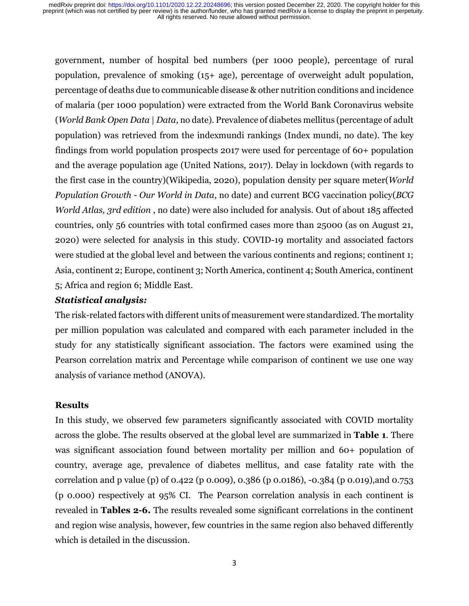government, number of hospital bed numbers (per 1000 people), percentage of rural population, prevalence of smoking (15+ age), percentage of overweight adult population, percentage of deaths due to communicable disease & other nutrition conditions and incidence of malaria (per 1000 population) were extracted from the World Bank Coronavirus website (*World Bank Open Data | Data*, no date). Prevalence of diabetes mellitus (percentage of adult population) was retrieved from the indexmundi rankings (Index mundi, no date). The key findings from world population prospects 2017 were used for percentage of 60+ population and the average population age (United Nations, 2017). Delay in lockdown (with regards to the first case in the country)(Wikipedia, 2020), population density per square meter(*World Population Growth - Our World in Data*, no date) and current BCG vaccination policy(*BCG World Atlas, 3rd edition* , no date) were also included for analysis. Out of about 185 affected countries, only 56 countries with total confirmed cases more than 25000 (as on August 21, 2020) were selected for analysis in this study. COVID-19 mortality and associated factors were studied at the global level and between the various continents and regions; continent 1; Asia, continent 2; Europe, continent 3; North America, continent 4; South America, continent 5; Africa and region 6; Middle East.

## *Statistical analysis:*

The risk-related factors with different units of measurement were standardized. The mortality per million population was calculated and compared with each parameter included in the study for any statistically significant association. The factors were examined using the Pearson correlation matrix and Percentage while comparison of continent we use one way analysis of variance method (ANOVA).

## **Results**

In this study, we observed few parameters significantly associated with COVID mortality across the globe. The results observed at the global level are summarized in **Table 1**. There was significant association found between mortality per million and 60+ population of country, average age, prevalence of diabetes mellitus, and case fatality rate with the correlation and p value (p) of 0.422 (p 0.009), 0.386 (p 0.0186), -0.384 (p 0.019),and 0.753 (p 0.000) respectively at 95% CI. The Pearson correlation analysis in each continent is revealed in **Tables 2-6.** The results revealed some significant correlations in the continent and region wise analysis, however, few countries in the same region also behaved differently which is detailed in the discussion.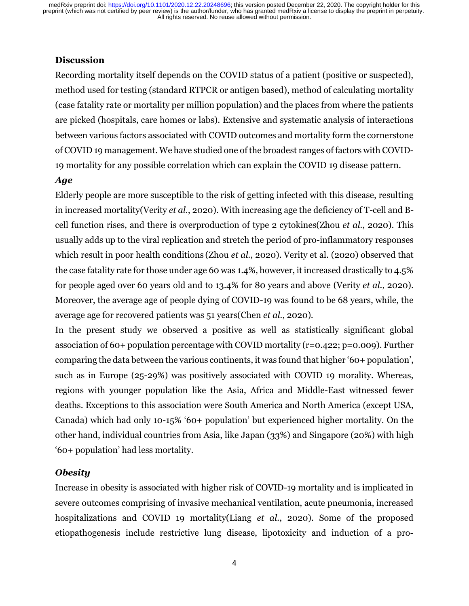### **Discussion**

Recording mortality itself depends on the COVID status of a patient (positive or suspected), method used for testing (standard RTPCR or antigen based), method of calculating mortality (case fatality rate or mortality per million population) and the places from where the patients are picked (hospitals, care homes or labs). Extensive and systematic analysis of interactions between various factors associated with COVID outcomes and mortality form the cornerstone of COVID 19 management. We have studied one of the broadest ranges of factors with COVID-19 mortality for any possible correlation which can explain the COVID 19 disease pattern.

### *Age*

Elderly people are more susceptible to the risk of getting infected with this disease, resulting in increased mortality(Verity *et al.*, 2020). With increasing age the deficiency of T-cell and Bcell function rises, and there is overproduction of type 2 cytokines(Zhou *et al.*, 2020). This usually adds up to the viral replication and stretch the period of pro-inflammatory responses which result in poor health conditions (Zhou *et al.*, 2020). Verity et al. (2020) observed that the case fatality rate for those under age 60 was 1.4%, however, it increased drastically to 4.5% for people aged over 60 years old and to 13.4% for 80 years and above (Verity *et al.*, 2020). Moreover, the average age of people dying of COVID-19 was found to be 68 years, while, the average age for recovered patients was 51 years(Chen *et al.*, 2020).

In the present study we observed a positive as well as statistically significant global association of 60+ population percentage with COVID mortality (r=0.422; p=0.009). Further comparing the data between the various continents, it was found that higher '60+ population', such as in Europe (25-29%) was positively associated with COVID 19 morality. Whereas, regions with younger population like the Asia, Africa and Middle-East witnessed fewer deaths. Exceptions to this association were South America and North America (except USA, Canada) which had only 10-15% '60+ population' but experienced higher mortality. On the other hand, individual countries from Asia, like Japan (33%) and Singapore (20%) with high '60+ population' had less mortality.

### *Obesity*

Increase in obesity is associated with higher risk of COVID-19 mortality and is implicated in severe outcomes comprising of invasive mechanical ventilation, acute pneumonia, increased hospitalizations and COVID 19 mortality(Liang *et al.*, 2020). Some of the proposed etiopathogenesis include restrictive lung disease, lipotoxicity and induction of a pro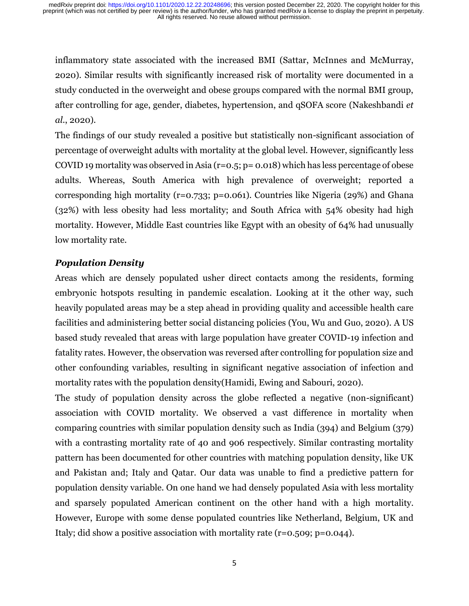inflammatory state associated with the increased BMI (Sattar, McInnes and McMurray, 2020). Similar results with significantly increased risk of mortality were documented in a study conducted in the overweight and obese groups compared with the normal BMI group, after controlling for age, gender, diabetes, hypertension, and qSOFA score (Nakeshbandi *et al.*, 2020).

The findings of our study revealed a positive but statistically non-significant association of percentage of overweight adults with mortality at the global level. However, significantly less COVID 19 mortality was observed in Asia ( $r=0.5$ ;  $p=0.018$ ) which has less percentage of obese adults. Whereas, South America with high prevalence of overweight; reported a corresponding high mortality (r=0.733; p=0.061). Countries like Nigeria (29%) and Ghana (32%) with less obesity had less mortality; and South Africa with 54% obesity had high mortality. However, Middle East countries like Egypt with an obesity of 64% had unusually low mortality rate.

# *Population Density*

Areas which are densely populated usher direct contacts among the residents, forming embryonic hotspots resulting in pandemic escalation. Looking at it the other way, such heavily populated areas may be a step ahead in providing quality and accessible health care facilities and administering better social distancing policies (You, Wu and Guo, 2020). A US based study revealed that areas with large population have greater COVID-19 infection and fatality rates. However, the observation was reversed after controlling for population size and other confounding variables, resulting in significant negative association of infection and mortality rates with the population density(Hamidi, Ewing and Sabouri, 2020).

The study of population density across the globe reflected a negative (non-significant) association with COVID mortality. We observed a vast difference in mortality when comparing countries with similar population density such as India (394) and Belgium (379) with a contrasting mortality rate of 40 and 906 respectively. Similar contrasting mortality pattern has been documented for other countries with matching population density, like UK and Pakistan and; Italy and Qatar. Our data was unable to find a predictive pattern for population density variable. On one hand we had densely populated Asia with less mortality and sparsely populated American continent on the other hand with a high mortality. However, Europe with some dense populated countries like Netherland, Belgium, UK and Italy; did show a positive association with mortality rate  $(r=0.509; p=0.044)$ .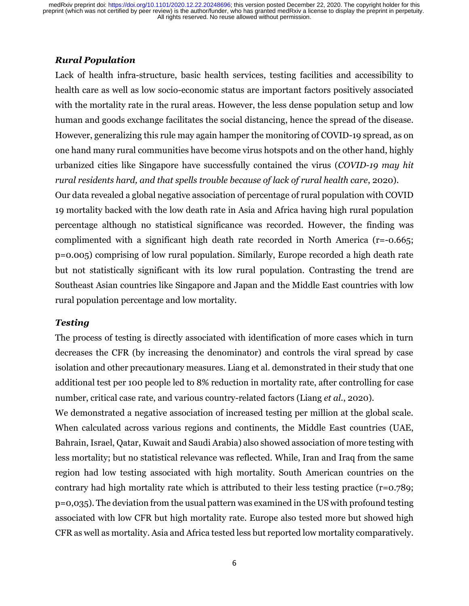### *Rural Population*

Lack of health infra-structure, basic health services, testing facilities and accessibility to health care as well as low socio-economic status are important factors positively associated with the mortality rate in the rural areas. However, the less dense population setup and low human and goods exchange facilitates the social distancing, hence the spread of the disease. However, generalizing this rule may again hamper the monitoring of COVID-19 spread, as on one hand many rural communities have become virus hotspots and on the other hand, highly urbanized cities like Singapore have successfully contained the virus (*COVID-19 may hit rural residents hard, and that spells trouble because of lack of rural health care*, 2020).

Our data revealed a global negative association of percentage of rural population with COVID 19 mortality backed with the low death rate in Asia and Africa having high rural population percentage although no statistical significance was recorded. However, the finding was complimented with a significant high death rate recorded in North America (r=-0.665; p=0.005) comprising of low rural population. Similarly, Europe recorded a high death rate but not statistically significant with its low rural population. Contrasting the trend are Southeast Asian countries like Singapore and Japan and the Middle East countries with low rural population percentage and low mortality.

### *Testing*

The process of testing is directly associated with identification of more cases which in turn decreases the CFR (by increasing the denominator) and controls the viral spread by case isolation and other precautionary measures. Liang et al. demonstrated in their study that one additional test per 100 people led to 8% reduction in mortality rate, after controlling for case number, critical case rate, and various country-related factors (Liang *et al.*, 2020).

We demonstrated a negative association of increased testing per million at the global scale. When calculated across various regions and continents, the Middle East countries (UAE, Bahrain, Israel, Qatar, Kuwait and Saudi Arabia) also showed association of more testing with less mortality; but no statistical relevance was reflected. While, Iran and Iraq from the same region had low testing associated with high mortality. South American countries on the contrary had high mortality rate which is attributed to their less testing practice (r=0.789; p=0,035). The deviation from the usual pattern was examined in the US with profound testing associated with low CFR but high mortality rate. Europe also tested more but showed high CFR as well as mortality. Asia and Africa tested less but reported low mortality comparatively.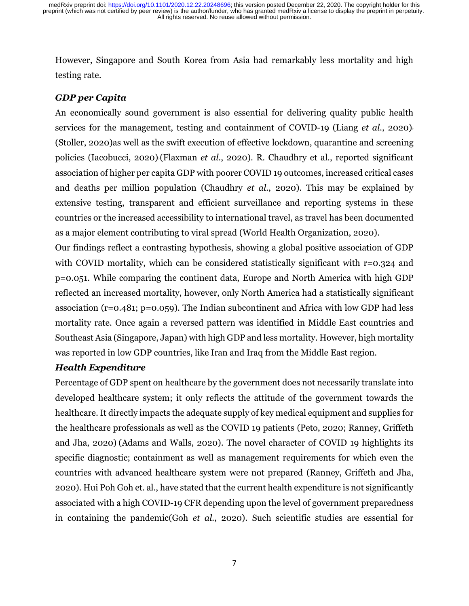However, Singapore and South Korea from Asia had remarkably less mortality and high testing rate.

## *GDP per Capita*

An economically sound government is also essential for delivering quality public health services for the management, testing and containment of COVID-19 (Liang *et al.*, 2020), (Stoller, 2020)as well as the swift execution of effective lockdown, quarantine and screening policies (Iacobucci, 2020),(Flaxman *et al.*, 2020). R. Chaudhry et al., reported significant association of higher per capita GDP with poorer COVID 19 outcomes, increased critical cases and deaths per million population (Chaudhry *et al.*, 2020). This may be explained by extensive testing, transparent and efficient surveillance and reporting systems in these countries or the increased accessibility to international travel, as travel has been documented as a major element contributing to viral spread (World Health Organization, 2020).

Our findings reflect a contrasting hypothesis, showing a global positive association of GDP with COVID mortality, which can be considered statistically significant with r=0.324 and p=0.051. While comparing the continent data, Europe and North America with high GDP reflected an increased mortality, however, only North America had a statistically significant association (r=0.481; p=0.059). The Indian subcontinent and Africa with low GDP had less mortality rate. Once again a reversed pattern was identified in Middle East countries and Southeast Asia (Singapore, Japan) with high GDP and less mortality. However, high mortality was reported in low GDP countries, like Iran and Iraq from the Middle East region.

# *Health Expenditure*

Percentage of GDP spent on healthcare by the government does not necessarily translate into developed healthcare system; it only reflects the attitude of the government towards the healthcare. It directly impacts the adequate supply of key medical equipment and supplies for the healthcare professionals as well as the COVID 19 patients (Peto, 2020; Ranney, Griffeth and Jha, 2020) (Adams and Walls, 2020). The novel character of COVID 19 highlights its specific diagnostic; containment as well as management requirements for which even the countries with advanced healthcare system were not prepared (Ranney, Griffeth and Jha, 2020). Hui Poh Goh et. al., have stated that the current health expenditure is not significantly associated with a high COVID-19 CFR depending upon the level of government preparedness in containing the pandemic(Goh *et al.*, 2020). Such scientific studies are essential for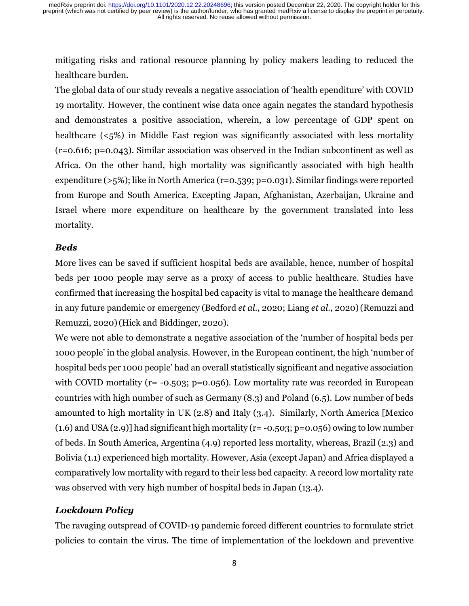mitigating risks and rational resource planning by policy makers leading to reduced the healthcare burden.

The global data of our study reveals a negative association of 'health ependiture' with COVID 19 mortality. However, the continent wise data once again negates the standard hypothesis and demonstrates a positive association, wherein, a low percentage of GDP spent on healthcare (<5%) in Middle East region was significantly associated with less mortality (r=0.616; p=0.043). Similar association was observed in the Indian subcontinent as well as Africa. On the other hand, high mortality was significantly associated with high health expenditure (>5%); like in North America (r=0.539; p=0.031). Similar findings were reported from Europe and South America. Excepting Japan, Afghanistan, Azerbaijan, Ukraine and Israel where more expenditure on healthcare by the government translated into less mortality.

## *Beds*

More lives can be saved if sufficient hospital beds are available, hence, number of hospital beds per 1000 people may serve as a proxy of access to public healthcare. Studies have confirmed that increasing the hospital bed capacity is vital to manage the healthcare demand in any future pandemic or emergency (Bedford *et al.*, 2020; Liang *et al.*, 2020)(Remuzzi and Remuzzi, 2020)(Hick and Biddinger, 2020).

We were not able to demonstrate a negative association of the 'number of hospital beds per 1000 people' in the global analysis. However, in the European continent, the high 'number of hospital beds per 1000 people' had an overall statistically significant and negative association with COVID mortality ( $r = -0.503$ ;  $p = 0.056$ ). Low mortality rate was recorded in European countries with high number of such as Germany (8.3) and Poland (6.5). Low number of beds amounted to high mortality in UK (2.8) and Italy (3.4). Similarly, North America [Mexico  $(1.6)$  and USA  $(2.9)$ ] had significant high mortality (r= -0.503; p=0.056) owing to low number of beds. In South America, Argentina (4.9) reported less mortality, whereas, Brazil (2.3) and Bolivia (1.1) experienced high mortality. However, Asia (except Japan) and Africa displayed a comparatively low mortality with regard to their less bed capacity. A record low mortality rate was observed with very high number of hospital beds in Japan (13.4).

## *Lockdown Policy*

The ravaging outspread of COVID-19 pandemic forced different countries to formulate strict policies to contain the virus. The time of implementation of the lockdown and preventive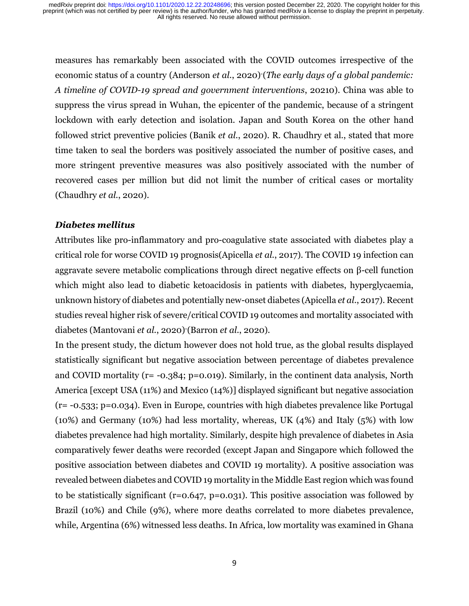measures has remarkably been associated with the COVID outcomes irrespective of the economic status of a country (Anderson *et al.*, 2020) (*The early days of a global pandemic: A timeline of COVID-19 spread and government interventions*, 20210). China was able to suppress the virus spread in Wuhan, the epicenter of the pandemic, because of a stringent lockdown with early detection and isolation. Japan and South Korea on the other hand followed strict preventive policies (Banik *et al.*, 2020). R. Chaudhry et al., stated that more time taken to seal the borders was positively associated the number of positive cases, and more stringent preventive measures was also positively associated with the number of recovered cases per million but did not limit the number of critical cases or mortality (Chaudhry *et al.*, 2020).

#### *Diabetes mellitus*

Attributes like pro-inflammatory and pro-coagulative state associated with diabetes play a critical role for worse COVID 19 prognosis(Apicella *et al.*, 2017). The COVID 19 infection can aggravate severe metabolic complications through direct negative effects on β-cell function which might also lead to diabetic ketoacidosis in patients with diabetes, hyperglycaemia, unknown history of diabetes and potentially new-onset diabetes (Apicella *et al.*, 2017). Recent studies reveal higher risk of severe/critical COVID 19 outcomes and mortality associated with diabetes (Mantovani *et al.*, 2020)-(Barron *et al.*, 2020).

In the present study, the dictum however does not hold true, as the global results displayed statistically significant but negative association between percentage of diabetes prevalence and COVID mortality (r= -0.384; p=0.019). Similarly, in the continent data analysis, North America [except USA (11%) and Mexico (14%)] displayed significant but negative association (r= -0.533; p=0.034). Even in Europe, countries with high diabetes prevalence like Portugal (10%) and Germany (10%) had less mortality, whereas, UK (4%) and Italy (5%) with low diabetes prevalence had high mortality. Similarly, despite high prevalence of diabetes in Asia comparatively fewer deaths were recorded (except Japan and Singapore which followed the positive association between diabetes and COVID 19 mortality). A positive association was revealed between diabetes and COVID 19 mortality in the Middle East region which was found to be statistically significant ( $r=0.647$ ,  $p=0.031$ ). This positive association was followed by Brazil (10%) and Chile (9%), where more deaths correlated to more diabetes prevalence, while, Argentina (6%) witnessed less deaths. In Africa, low mortality was examined in Ghana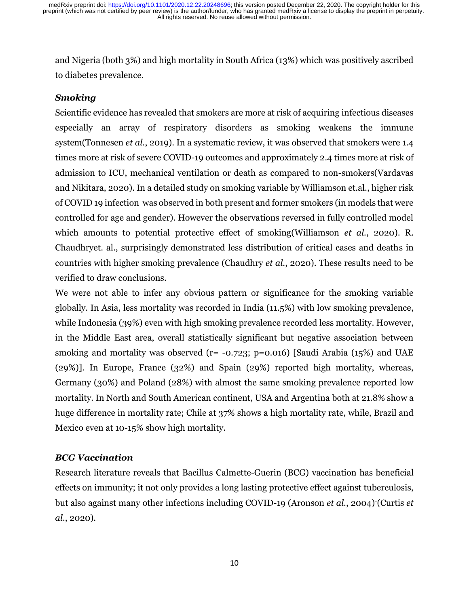and Nigeria (both 3%) and high mortality in South Africa (13%) which was positively ascribed to diabetes prevalence.

## *Smoking*

Scientific evidence has revealed that smokers are more at risk of acquiring infectious diseases especially an array of respiratory disorders as smoking weakens the immune system(Tonnesen *et al.*, 2019). In a systematic review, it was observed that smokers were 1.4 times more at risk of severe COVID-19 outcomes and approximately 2.4 times more at risk of admission to ICU, mechanical ventilation or death as compared to non-smokers(Vardavas and Nikitara, 2020). In a detailed study on smoking variable by Williamson et.al., higher risk of COVID 19 infection was observed in both present and former smokers (in models that were controlled for age and gender). However the observations reversed in fully controlled model which amounts to potential protective effect of smoking(Williamson *et al.*, 2020). R. Chaudhryet. al., surprisingly demonstrated less distribution of critical cases and deaths in countries with higher smoking prevalence (Chaudhry *et al.*, 2020). These results need to be verified to draw conclusions.

We were not able to infer any obvious pattern or significance for the smoking variable globally. In Asia, less mortality was recorded in India (11.5%) with low smoking prevalence, while Indonesia (39%) even with high smoking prevalence recorded less mortality. However, in the Middle East area, overall statistically significant but negative association between smoking and mortality was observed ( $r = -0.723$ ;  $p = 0.016$ ) [Saudi Arabia (15%) and UAE (29%)]. In Europe, France (32%) and Spain (29%) reported high mortality, whereas, Germany (30%) and Poland (28%) with almost the same smoking prevalence reported low mortality. In North and South American continent, USA and Argentina both at 21.8% show a huge difference in mortality rate; Chile at 37% shows a high mortality rate, while, Brazil and Mexico even at 10-15% show high mortality.

### *BCG Vaccination*

Research literature reveals that Bacillus Calmette-Guerin (BCG) vaccination has beneficial effects on immunity; it not only provides a long lasting protective effect against tuberculosis, but also against many other infections including COVID-19 (Aronson *et al.*, 2004)-(Curtis *et al.*, 2020).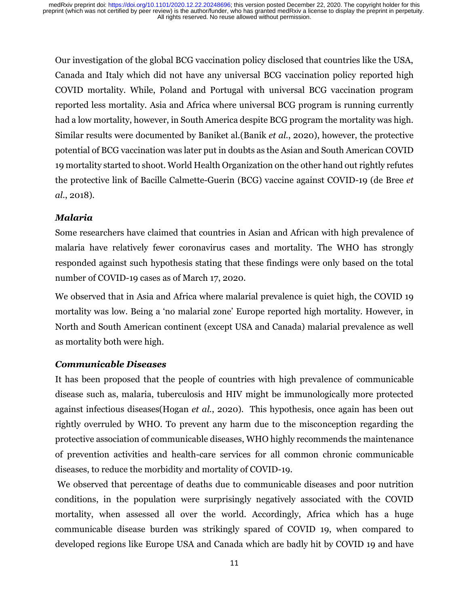Our investigation of the global BCG vaccination policy disclosed that countries like the USA, Canada and Italy which did not have any universal BCG vaccination policy reported high COVID mortality. While, Poland and Portugal with universal BCG vaccination program reported less mortality. Asia and Africa where universal BCG program is running currently had a low mortality, however, in South America despite BCG program the mortality was high. Similar results were documented by Baniket al.(Banik *et al.*, 2020), however, the protective potential of BCG vaccination was later put in doubts as the Asian and South American COVID 19 mortality started to shoot. World Health Organization on the other hand out rightly refutes the protective link of Bacille Calmette-Guerin (BCG) vaccine against COVID-19 (de Bree *et al.*, 2018).

## *Malaria*

Some researchers have claimed that countries in Asian and African with high prevalence of malaria have relatively fewer coronavirus cases and mortality. The WHO has strongly responded against such hypothesis stating that these findings were only based on the total number of COVID-19 cases as of March 17, 2020.

We observed that in Asia and Africa where malarial prevalence is quiet high, the COVID 19 mortality was low. Being a 'no malarial zone' Europe reported high mortality. However, in North and South American continent (except USA and Canada) malarial prevalence as well as mortality both were high.

## *Communicable Diseases*

It has been proposed that the people of countries with high prevalence of communicable disease such as, malaria, tuberculosis and HIV might be immunologically more protected against infectious diseases(Hogan *et al.*, 2020). This hypothesis, once again has been out rightly overruled by WHO. To prevent any harm due to the misconception regarding the protective association of communicable diseases, WHO highly recommends the maintenance of prevention activities and health-care services for all common chronic communicable diseases, to reduce the morbidity and mortality of COVID-19.

 We observed that percentage of deaths due to communicable diseases and poor nutrition conditions, in the population were surprisingly negatively associated with the COVID mortality, when assessed all over the world. Accordingly, Africa which has a huge communicable disease burden was strikingly spared of COVID 19, when compared to developed regions like Europe USA and Canada which are badly hit by COVID 19 and have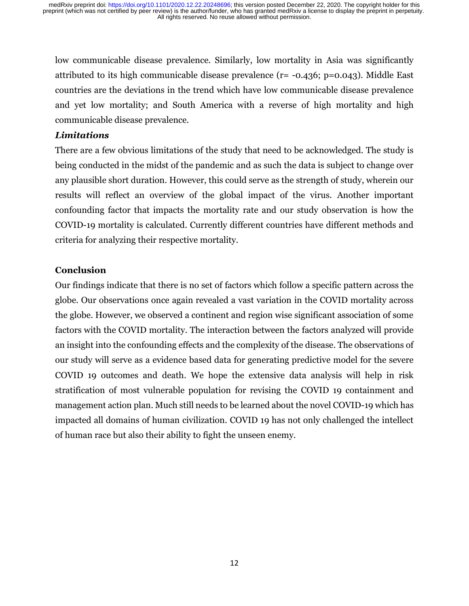low communicable disease prevalence. Similarly, low mortality in Asia was significantly attributed to its high communicable disease prevalence (r= -0.436; p=0.043). Middle East countries are the deviations in the trend which have low communicable disease prevalence and yet low mortality; and South America with a reverse of high mortality and high communicable disease prevalence.

### *Limitations*

There are a few obvious limitations of the study that need to be acknowledged. The study is being conducted in the midst of the pandemic and as such the data is subject to change over any plausible short duration. However, this could serve as the strength of study, wherein our results will reflect an overview of the global impact of the virus. Another important confounding factor that impacts the mortality rate and our study observation is how the COVID-19 mortality is calculated. Currently different countries have different methods and criteria for analyzing their respective mortality.

#### **Conclusion**

Our findings indicate that there is no set of factors which follow a specific pattern across the globe. Our observations once again revealed a vast variation in the COVID mortality across the globe. However, we observed a continent and region wise significant association of some factors with the COVID mortality. The interaction between the factors analyzed will provide an insight into the confounding effects and the complexity of the disease. The observations of our study will serve as a evidence based data for generating predictive model for the severe COVID 19 outcomes and death. We hope the extensive data analysis will help in risk stratification of most vulnerable population for revising the COVID 19 containment and management action plan. Much still needs to be learned about the novel COVID-19 which has impacted all domains of human civilization. COVID 19 has not only challenged the intellect of human race but also their ability to fight the unseen enemy.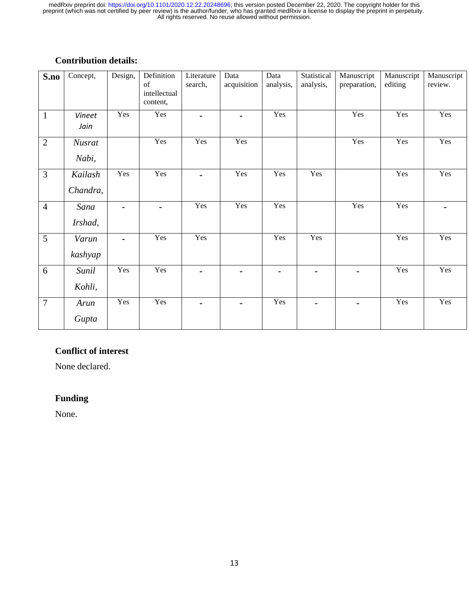# **Contribution details:**

| S.no           | Concept,               | Design, | Definition<br>of<br>intellectual<br>content, | Literature<br>search, | Data<br>acquisition | Data<br>analysis, | Statistical<br>analysis, | Manuscript<br>preparation, | Manuscript<br>editing | Manuscript<br>review. |
|----------------|------------------------|---------|----------------------------------------------|-----------------------|---------------------|-------------------|--------------------------|----------------------------|-----------------------|-----------------------|
| $\mathbf{1}$   | Vineet<br>Jain         | Yes     | Yes                                          | $\blacksquare$        | $\blacksquare$      | Yes               |                          | Yes                        | Yes                   | Yes                   |
| $\overline{2}$ | <b>Nusrat</b><br>Nabi, |         | Yes                                          | Yes                   | Yes                 |                   |                          | Yes                        | Yes                   | Yes                   |
| $\mathfrak{Z}$ | Kailash<br>Chandra,    | Yes     | Yes                                          | $\blacksquare$        | Yes                 | Yes               | Yes                      |                            | Yes                   | Yes                   |
| $\overline{4}$ | Sana<br>Irshad,        |         | $\blacksquare$                               | Yes                   | Yes                 | Yes               |                          | Yes                        | Yes                   |                       |
| 5              | Varun<br>kashyap       |         | Yes                                          | Yes                   |                     | Yes               | Yes                      |                            | Yes                   | Yes                   |
| 6              | Sunil<br>Kohli,        | Yes     | Yes                                          | $\blacksquare$        | $\blacksquare$      | $\blacksquare$    | $\blacksquare$           | $\blacksquare$             | $\overline{Y}$ es     | Yes                   |
| $\overline{7}$ | Arun<br>Gupta          | Yes     | Yes                                          | $\blacksquare$        | $\blacksquare$      | Yes               | $\blacksquare$           |                            | Yes                   | Yes                   |

# **Conflict of interest**

None declared.

# **Funding**

None.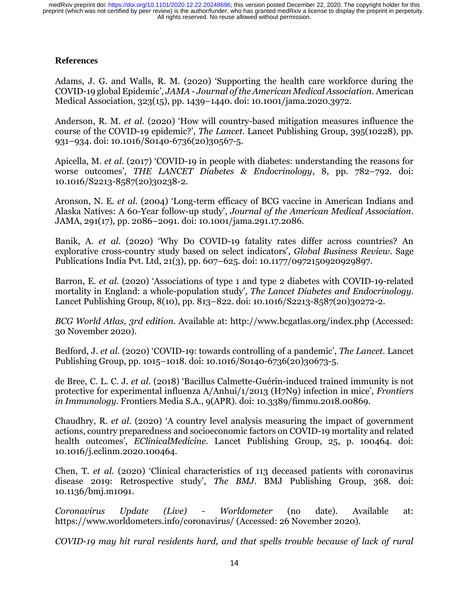#### **References**

Adams, J. G. and Walls, R. M. (2020) 'Supporting the health care workforce during the COVID-19 global Epidemic', *JAMA - Journal of the American Medical Association*. American Medical Association, 323(15), pp. 1439–1440. doi: 10.1001/jama.2020.3972.

Anderson, R. M. *et al.* (2020) 'How will country-based mitigation measures influence the course of the COVID-19 epidemic?', *The Lancet*. Lancet Publishing Group, 395(10228), pp. 931–934. doi: 10.1016/S0140-6736(20)30567-5.

Apicella, M. *et al.* (2017) 'COVID-19 in people with diabetes: understanding the reasons for worse outcomes', *THE LANCET Diabetes & Endocrinology*, 8, pp. 782–792. doi: 10.1016/S2213-8587(20)30238-2.

Aronson, N. E. *et al.* (2004) 'Long-term efficacy of BCG vaccine in American Indians and Alaska Natives: A 60-Year follow-up study', *Journal of the American Medical Association*. JAMA, 291(17), pp. 2086–2091. doi: 10.1001/jama.291.17.2086.

Banik, A. *et al.* (2020) 'Why Do COVID-19 fatality rates differ across countries? An explorative cross-country study based on select indicators', *Global Business Review*. Sage Publications India Pvt. Ltd, 21(3), pp. 607–625. doi: 10.1177/0972150920929897.

Barron, E. *et al.* (2020) 'Associations of type 1 and type 2 diabetes with COVID-19-related mortality in England: a whole-population study', *The Lancet Diabetes and Endocrinology*. Lancet Publishing Group, 8(10), pp. 813–822. doi: 10.1016/S2213-8587(20)30272-2.

*BCG World Atlas, 3rd edition*. Available at: http://www.bcgatlas.org/index.php (Accessed: 30 November 2020).

Bedford, J. *et al.* (2020) 'COVID-19: towards controlling of a pandemic', *The Lancet*. Lancet Publishing Group, pp. 1015–1018. doi: 10.1016/S0140-6736(20)30673-5.

de Bree, C. L. C. J. *et al.* (2018) 'Bacillus Calmette-Guérin-induced trained immunity is not protective for experimental influenza A/Anhui/1/2013 (H7N9) infection in mice', *Frontiers in Immunology*. Frontiers Media S.A., 9(APR). doi: 10.3389/fimmu.2018.00869.

Chaudhry, R. *et al.* (2020) 'A country level analysis measuring the impact of government actions, country preparedness and socioeconomic factors on COVID-19 mortality and related health outcomes', *EClinicalMedicine*. Lancet Publishing Group, 25, p. 100464. doi: 10.1016/j.eclinm.2020.100464.

Chen, T. *et al.* (2020) 'Clinical characteristics of 113 deceased patients with coronavirus disease 2019: Retrospective study', *The BMJ*. BMJ Publishing Group, 368. doi: 10.1136/bmj.m1091.

*Coronavirus Update (Live) - Worldometer* (no date). Available at: https://www.worldometers.info/coronavirus/ (Accessed: 26 November 2020).

*COVID-19 may hit rural residents hard, and that spells trouble because of lack of rural*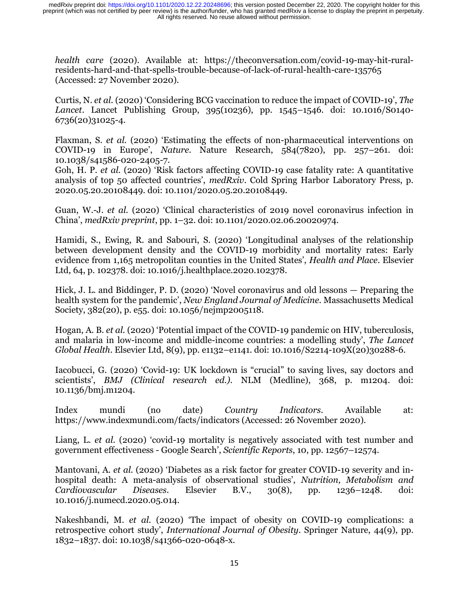*health care* (2020). Available at: https://theconversation.com/covid-19-may-hit-ruralresidents-hard-and-that-spells-trouble-because-of-lack-of-rural-health-care-135765 (Accessed: 27 November 2020).

Curtis, N. *et al.* (2020) 'Considering BCG vaccination to reduce the impact of COVID-19', *The Lancet*. Lancet Publishing Group, 395(10236), pp. 1545–1546. doi: 10.1016/S0140- 6736(20)31025-4.

Flaxman, S. *et al.* (2020) 'Estimating the effects of non-pharmaceutical interventions on COVID-19 in Europe', *Nature*. Nature Research, 584(7820), pp. 257–261. doi: 10.1038/s41586-020-2405-7.

Goh, H. P. *et al.* (2020) 'Risk factors affecting COVID-19 case fatality rate: A quantitative analysis of top 50 affected countries', *medRxiv*. Cold Spring Harbor Laboratory Press, p. 2020.05.20.20108449. doi: 10.1101/2020.05.20.20108449.

Guan, W.-J. *et al.* (2020) 'Clinical characteristics of 2019 novel coronavirus infection in China', *medRxiv preprint*, pp. 1–32. doi: 10.1101/2020.02.06.20020974.

Hamidi, S., Ewing, R. and Sabouri, S. (2020) 'Longitudinal analyses of the relationship between development density and the COVID-19 morbidity and mortality rates: Early evidence from 1,165 metropolitan counties in the United States', *Health and Place*. Elsevier Ltd, 64, p. 102378. doi: 10.1016/j.healthplace.2020.102378.

Hick, J. L. and Biddinger, P. D. (2020) 'Novel coronavirus and old lessons — Preparing the health system for the pandemic', *New England Journal of Medicine*. Massachusetts Medical Society, 382(20), p. e55. doi: 10.1056/nejmp2005118.

Hogan, A. B. *et al.* (2020) 'Potential impact of the COVID-19 pandemic on HIV, tuberculosis, and malaria in low-income and middle-income countries: a modelling study', *The Lancet Global Health*. Elsevier Ltd, 8(9), pp. e1132–e1141. doi: 10.1016/S2214-109X(20)30288-6.

Iacobucci, G. (2020) 'Covid-19: UK lockdown is "crucial" to saving lives, say doctors and scientists', *BMJ (Clinical research ed.)*. NLM (Medline), 368, p. m1204. doi: 10.1136/bmj.m1204.

Index mundi (no date) *Country Indicators*. Available at: https://www.indexmundi.com/facts/indicators (Accessed: 26 November 2020).

Liang, L. *et al.* (2020) 'covid-19 mortality is negatively associated with test number and government effectiveness - Google Search', *Scientific Reports*, 10, pp. 12567–12574.

Mantovani, A. *et al.* (2020) 'Diabetes as a risk factor for greater COVID-19 severity and inhospital death: A meta-analysis of observational studies', *Nutrition, Metabolism and Cardiovascular Diseases*. Elsevier B.V., 30(8), pp. 1236–1248. doi: 10.1016/j.numecd.2020.05.014.

Nakeshbandi, M. *et al.* (2020) 'The impact of obesity on COVID-19 complications: a retrospective cohort study', *International Journal of Obesity*. Springer Nature, 44(9), pp. 1832–1837. doi: 10.1038/s41366-020-0648-x.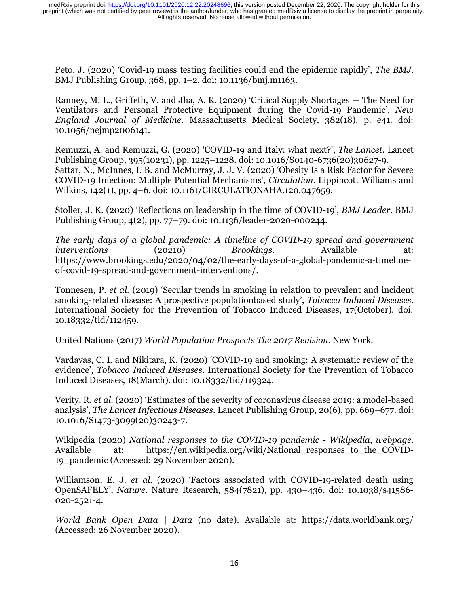Peto, J. (2020) 'Covid-19 mass testing facilities could end the epidemic rapidly', *The BMJ*. BMJ Publishing Group, 368, pp. 1–2. doi: 10.1136/bmj.m1163.

Ranney, M. L., Griffeth, V. and Jha, A. K. (2020) 'Critical Supply Shortages — The Need for Ventilators and Personal Protective Equipment during the Covid-19 Pandemic', *New England Journal of Medicine*. Massachusetts Medical Society, 382(18), p. e41. doi: 10.1056/nejmp2006141.

Remuzzi, A. and Remuzzi, G. (2020) 'COVID-19 and Italy: what next?', *The Lancet*. Lancet Publishing Group, 395(10231), pp. 1225–1228. doi: 10.1016/S0140-6736(20)30627-9. Sattar, N., McInnes, I. B. and McMurray, J. J. V. (2020) 'Obesity Is a Risk Factor for Severe COVID-19 Infection: Multiple Potential Mechanisms', *Circulation*. Lippincott Williams and Wilkins, 142(1), pp. 4–6. doi: 10.1161/CIRCULATIONAHA.120.047659.

Stoller, J. K. (2020) 'Reflections on leadership in the time of COVID-19', *BMJ Leader*. BMJ Publishing Group, 4(2), pp. 77–79. doi: 10.1136/leader-2020-000244.

*The early days of a global pandemic: A timeline of COVID-19 spread and government interventions* (20210) *Brookings*. Available at: https://www.brookings.edu/2020/04/02/the-early-days-of-a-global-pandemic-a-timelineof-covid-19-spread-and-government-interventions/.

Tonnesen, P. *et al.* (2019) 'Secular trends in smoking in relation to prevalent and incident smoking-related disease: A prospective populationbased study', *Tobacco Induced Diseases*. International Society for the Prevention of Tobacco Induced Diseases, 17(October). doi: 10.18332/tid/112459.

United Nations (2017) *World Population Prospects The 2017 Revision*. New York.

Vardavas, C. I. and Nikitara, K. (2020) 'COVID-19 and smoking: A systematic review of the evidence', *Tobacco Induced Diseases*. International Society for the Prevention of Tobacco Induced Diseases, 18(March). doi: 10.18332/tid/119324.

Verity, R. *et al.* (2020) 'Estimates of the severity of coronavirus disease 2019: a model-based analysis', *The Lancet Infectious Diseases*. Lancet Publishing Group, 20(6), pp. 669–677. doi: 10.1016/S1473-3099(20)30243-7.

Wikipedia (2020) *National responses to the COVID-19 pandemic - Wikipedia*, *webpage*. Available at: https://en.wikipedia.org/wiki/National\_responses\_to\_the\_COVID-19\_pandemic (Accessed: 29 November 2020).

Williamson, E. J. *et al.* (2020) 'Factors associated with COVID-19-related death using OpenSAFELY', *Nature*. Nature Research, 584(7821), pp. 430–436. doi: 10.1038/s41586- 020-2521-4.

*World Bank Open Data | Data* (no date). Available at: https://data.worldbank.org/ (Accessed: 26 November 2020).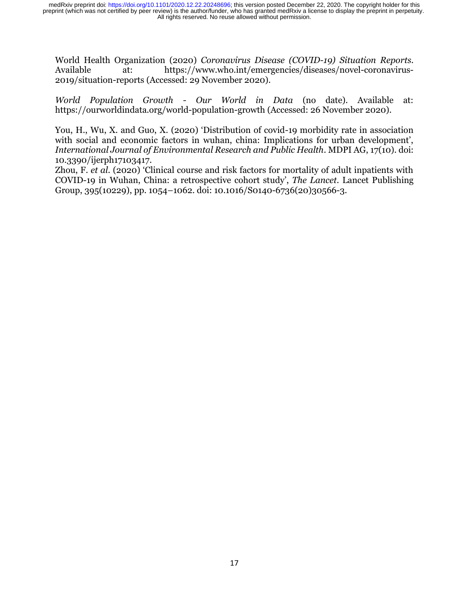World Health Organization (2020) *Coronavirus Disease (COVID-19) Situation Reports*. Available at: https://www.who.int/emergencies/diseases/novel-coronavirus-2019/situation-reports (Accessed: 29 November 2020).

*World Population Growth - Our World in Data* (no date). Available at: https://ourworldindata.org/world-population-growth (Accessed: 26 November 2020).

You, H., Wu, X. and Guo, X. (2020) 'Distribution of covid-19 morbidity rate in association with social and economic factors in wuhan, china: Implications for urban development', *International Journal of Environmental Research and Public Health*. MDPI AG, 17(10). doi: 10.3390/ijerph17103417.

Zhou, F. *et al.* (2020) 'Clinical course and risk factors for mortality of adult inpatients with COVID-19 in Wuhan, China: a retrospective cohort study', *The Lancet*. Lancet Publishing Group, 395(10229), pp. 1054–1062. doi: 10.1016/S0140-6736(20)30566-3.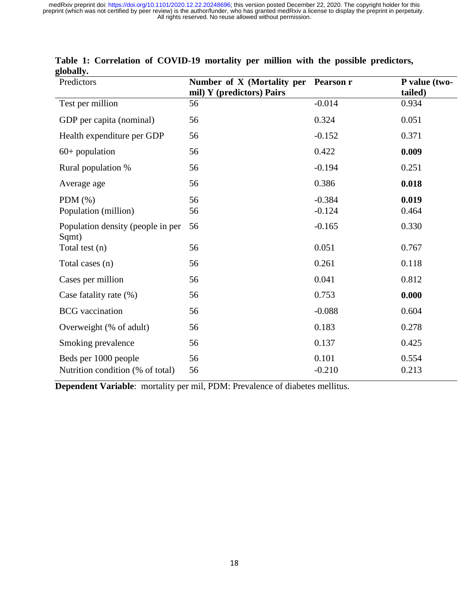| Predictors                                               | Number of X (Mortality per<br>mil) Y (predictors) Pairs | <b>Pearson r</b>     | P value (two-<br>tailed) |
|----------------------------------------------------------|---------------------------------------------------------|----------------------|--------------------------|
| Test per million                                         | 56                                                      | $-0.014$             | 0.934                    |
| GDP per capita (nominal)                                 | 56                                                      | 0.324                | 0.051                    |
| Health expenditure per GDP                               | 56                                                      | $-0.152$             | 0.371                    |
| $60+$ population                                         | 56                                                      | 0.422                | 0.009                    |
| Rural population %                                       | 56                                                      | $-0.194$             | 0.251                    |
| Average age                                              | 56                                                      | 0.386                | 0.018                    |
| PDM $(\%)$<br>Population (million)                       | 56<br>56                                                | $-0.384$<br>$-0.124$ | 0.019<br>0.464           |
| Population density (people in per<br>Sqmt)               | 56                                                      | $-0.165$             | 0.330                    |
| Total test (n)                                           | 56                                                      | 0.051                | 0.767                    |
| Total cases (n)                                          | 56                                                      | 0.261                | 0.118                    |
| Cases per million                                        | 56                                                      | 0.041                | 0.812                    |
| Case fatality rate (%)                                   | 56                                                      | 0.753                | 0.000                    |
| <b>BCG</b> vaccination                                   | 56                                                      | $-0.088$             | 0.604                    |
| Overweight (% of adult)                                  | 56                                                      | 0.183                | 0.278                    |
| Smoking prevalence                                       | 56                                                      | 0.137                | 0.425                    |
| Beds per 1000 people<br>Nutrition condition (% of total) | 56<br>56                                                | 0.101<br>$-0.210$    | 0.554<br>0.213           |

## **Table 1: Correlation of COVID-19 mortality per million with the possible predictors, globally.**

**Dependent Variable**: mortality per mil, PDM: Prevalence of diabetes mellitus.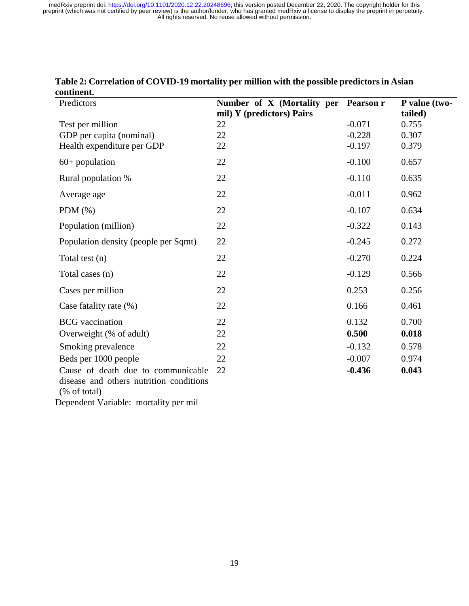| Predictors                              | Number of X (Mortality per | <b>Pearson r</b> | P value (two- |
|-----------------------------------------|----------------------------|------------------|---------------|
|                                         | mil) Y (predictors) Pairs  |                  | tailed)       |
| Test per million                        | 22                         | $-0.071$         | 0.755         |
| GDP per capita (nominal)                | 22                         | $-0.228$         | 0.307         |
| Health expenditure per GDP              | 22                         | $-0.197$         | 0.379         |
| $60+$ population                        | 22                         | $-0.100$         | 0.657         |
| Rural population %                      | 22                         | $-0.110$         | 0.635         |
| Average age                             | 22                         | $-0.011$         | 0.962         |
| PDM $(\%)$                              | 22                         | $-0.107$         | 0.634         |
| Population (million)                    | 22                         | $-0.322$         | 0.143         |
| Population density (people per Sqmt)    | 22                         | $-0.245$         | 0.272         |
| Total test (n)                          | 22                         | $-0.270$         | 0.224         |
| Total cases (n)                         | 22                         | $-0.129$         | 0.566         |
| Cases per million                       | 22                         | 0.253            | 0.256         |
| Case fatality rate (%)                  | 22                         | 0.166            | 0.461         |
| <b>BCG</b> vaccination                  | 22                         | 0.132            | 0.700         |
| Overweight (% of adult)                 | 22                         | 0.500            | 0.018         |
| Smoking prevalence                      | 22                         | $-0.132$         | 0.578         |
| Beds per 1000 people                    | 22                         | $-0.007$         | 0.974         |
| Cause of death due to communicable      | 22                         | $-0.436$         | 0.043         |
| disease and others nutrition conditions |                            |                  |               |
| (% of total)                            |                            |                  |               |
| Donondont Vorighla: mortality par mil   |                            |                  |               |

#### **Table 2: Correlation of COVID-19 mortality per million with the possible predictors in Asian continent.**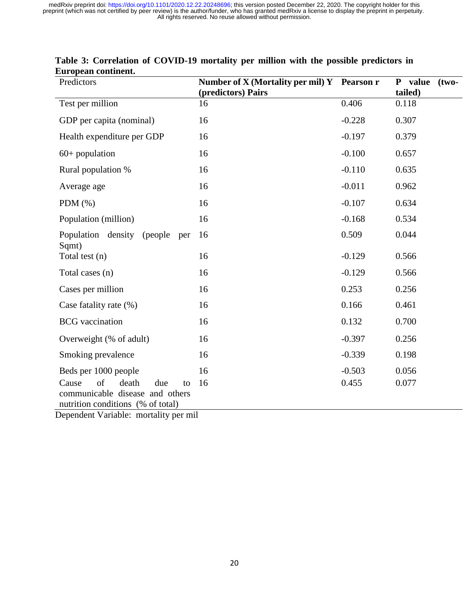| Predictors                                                           | Number of X (Mortality per mil) Y Pearson r<br>(predictors) Pairs |                   | P value (two-<br>tailed) |
|----------------------------------------------------------------------|-------------------------------------------------------------------|-------------------|--------------------------|
| Test per million                                                     | 16                                                                | 0.406             | 0.118                    |
| GDP per capita (nominal)                                             | 16                                                                | $-0.228$          | 0.307                    |
| Health expenditure per GDP                                           | 16                                                                | $-0.197$          | 0.379                    |
| $60+$ population                                                     | 16                                                                | $-0.100$          | 0.657                    |
| Rural population %                                                   | 16                                                                | $-0.110$          | 0.635                    |
| Average age                                                          | 16                                                                | $-0.011$          | 0.962                    |
| PDM $(\%)$                                                           | 16                                                                | $-0.107$          | 0.634                    |
| Population (million)                                                 | 16                                                                | $-0.168$          | 0.534                    |
| Population density (people)<br>per                                   | 16                                                                | 0.509             | 0.044                    |
| Sqmt)<br>Total test (n)                                              | 16                                                                | $-0.129$          | 0.566                    |
| Total cases (n)                                                      | 16                                                                | $-0.129$          | 0.566                    |
| Cases per million                                                    | 16                                                                | 0.253             | 0.256                    |
| Case fatality rate (%)                                               | 16                                                                | 0.166             | 0.461                    |
| <b>BCG</b> vaccination                                               | 16                                                                | 0.132             | 0.700                    |
| Overweight (% of adult)                                              | 16                                                                | $-0.397$          | 0.256                    |
| Smoking prevalence                                                   | 16                                                                | $-0.339$          | 0.198                    |
| Beds per 1000 people<br>of<br>Cause<br>death<br>due<br>to            | 16<br>16                                                          | $-0.503$<br>0.455 | 0.056<br>0.077           |
| communicable disease and others<br>nutrition conditions (% of total) |                                                                   |                   |                          |
| Denendent Variable: mortality ner mil                                |                                                                   |                   |                          |

## **Table 3: Correlation of COVID-19 mortality per million with the possible predictors in European continent.**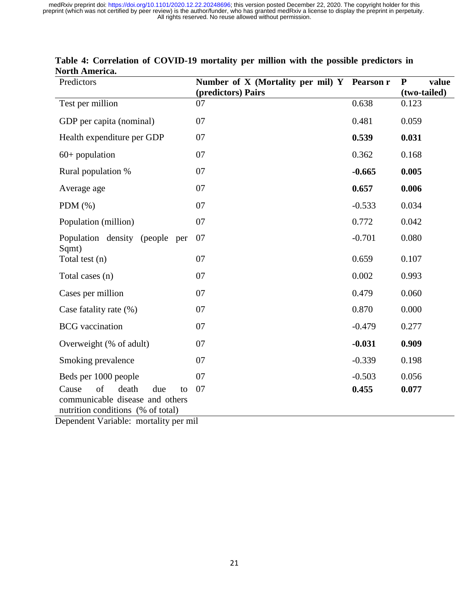| Predictors                                                                                                                                         | Number of X (Mortality per mil) Y Pearson r<br>(predictors) Pairs |          | P<br>value<br>(two-tailed) |
|----------------------------------------------------------------------------------------------------------------------------------------------------|-------------------------------------------------------------------|----------|----------------------------|
| Test per million                                                                                                                                   | 07                                                                | 0.638    | 0.123                      |
| GDP per capita (nominal)                                                                                                                           | 07                                                                | 0.481    | 0.059                      |
| Health expenditure per GDP                                                                                                                         | 07                                                                | 0.539    | 0.031                      |
| $60+$ population                                                                                                                                   | 07                                                                | 0.362    | 0.168                      |
| Rural population %                                                                                                                                 | 07                                                                | $-0.665$ | 0.005                      |
| Average age                                                                                                                                        | 07                                                                | 0.657    | 0.006                      |
| PDM $(\%)$                                                                                                                                         | 07                                                                | $-0.533$ | 0.034                      |
| Population (million)                                                                                                                               | 07                                                                | 0.772    | 0.042                      |
| Population density (people<br>per                                                                                                                  | 07                                                                | $-0.701$ | 0.080                      |
| Sqmt)<br>Total test (n)                                                                                                                            | 07                                                                | 0.659    | 0.107                      |
| Total cases (n)                                                                                                                                    | 07                                                                | 0.002    | 0.993                      |
| Cases per million                                                                                                                                  | 07                                                                | 0.479    | 0.060                      |
| Case fatality rate (%)                                                                                                                             | 07                                                                | 0.870    | 0.000                      |
| <b>BCG</b> vaccination                                                                                                                             | 07                                                                | $-0.479$ | 0.277                      |
| Overweight (% of adult)                                                                                                                            | 07                                                                | $-0.031$ | 0.909                      |
| Smoking prevalence                                                                                                                                 | 07                                                                | $-0.339$ | 0.198                      |
| Beds per 1000 people                                                                                                                               | 07                                                                | $-0.503$ | 0.056                      |
| of<br>death<br>Cause<br>due<br>to<br>communicable disease and others<br>nutrition conditions (% of total)<br>Dependent Variable: mortality per mil | 07                                                                | 0.455    | 0.077                      |

## **Table 4: Correlation of COVID-19 mortality per million with the possible predictors in North America.**

21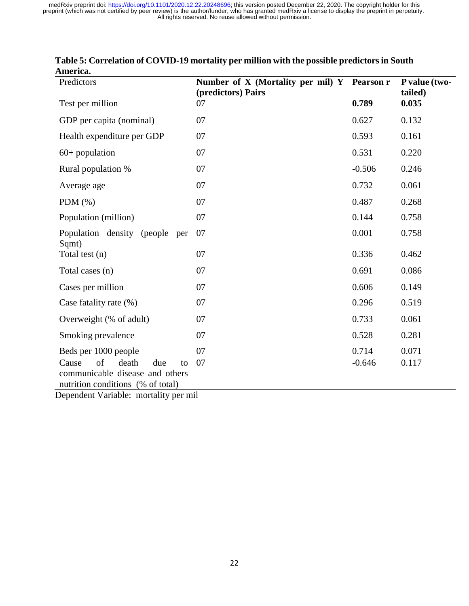| Predictors                                                                                                | Number of X (Mortality per mil) Y Pearson r<br>(predictors) Pairs |          | P value (two-<br>tailed) |
|-----------------------------------------------------------------------------------------------------------|-------------------------------------------------------------------|----------|--------------------------|
| Test per million                                                                                          | 07                                                                | 0.789    | 0.035                    |
| GDP per capita (nominal)                                                                                  | 07                                                                | 0.627    | 0.132                    |
| Health expenditure per GDP                                                                                | 07                                                                | 0.593    | 0.161                    |
| $60+$ population                                                                                          | 07                                                                | 0.531    | 0.220                    |
| Rural population %                                                                                        | 07                                                                | $-0.506$ | 0.246                    |
| Average age                                                                                               | 07                                                                | 0.732    | 0.061                    |
| PDM $(\%)$                                                                                                | 07                                                                | 0.487    | 0.268                    |
| Population (million)                                                                                      | 07                                                                | 0.144    | 0.758                    |
| Population density (people<br>per<br>Sqmt)                                                                | 07                                                                | 0.001    | 0.758                    |
| Total test (n)                                                                                            | 07                                                                | 0.336    | 0.462                    |
| Total cases (n)                                                                                           | 07                                                                | 0.691    | 0.086                    |
| Cases per million                                                                                         | 07                                                                | 0.606    | 0.149                    |
| Case fatality rate (%)                                                                                    | 07                                                                | 0.296    | 0.519                    |
| Overweight (% of adult)                                                                                   | 07                                                                | 0.733    | 0.061                    |
| Smoking prevalence                                                                                        | 07                                                                | 0.528    | 0.281                    |
| Beds per 1000 people                                                                                      | 07                                                                | 0.714    | 0.071                    |
| of<br>death<br>Cause<br>due<br>to<br>communicable disease and others<br>nutrition conditions (% of total) | 07                                                                | $-0.646$ | 0.117                    |

## **Table 5: Correlation of COVID-19 mortality per million with the possible predictors in South America.**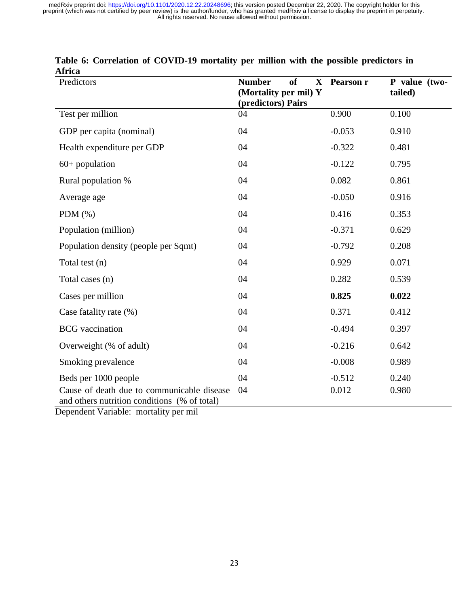| Predictors                                                                                 | <b>Number</b><br><sub>of</sub><br>$\mathbf X$<br>(Mortality per mil) Y<br>(predictors) Pairs | Pearson r | P value (two-<br>tailed) |
|--------------------------------------------------------------------------------------------|----------------------------------------------------------------------------------------------|-----------|--------------------------|
| Test per million                                                                           | 04                                                                                           | 0.900     | 0.100                    |
| GDP per capita (nominal)                                                                   | 04                                                                                           | $-0.053$  | 0.910                    |
| Health expenditure per GDP                                                                 | 04                                                                                           | $-0.322$  | 0.481                    |
| $60+$ population                                                                           | 04                                                                                           | $-0.122$  | 0.795                    |
| Rural population %                                                                         | 04                                                                                           | 0.082     | 0.861                    |
| Average age                                                                                | 04                                                                                           | $-0.050$  | 0.916                    |
| PDM $(\% )$                                                                                | 04                                                                                           | 0.416     | 0.353                    |
| Population (million)                                                                       | 04                                                                                           | $-0.371$  | 0.629                    |
| Population density (people per Sqmt)                                                       | 04                                                                                           | $-0.792$  | 0.208                    |
| Total test (n)                                                                             | 04                                                                                           | 0.929     | 0.071                    |
| Total cases (n)                                                                            | 04                                                                                           | 0.282     | 0.539                    |
| Cases per million                                                                          | 04                                                                                           | 0.825     | 0.022                    |
| Case fatality rate (%)                                                                     | 04                                                                                           | 0.371     | 0.412                    |
| <b>BCG</b> vaccination                                                                     | 04                                                                                           | $-0.494$  | 0.397                    |
| Overweight (% of adult)                                                                    | 04                                                                                           | $-0.216$  | 0.642                    |
| Smoking prevalence                                                                         | 04                                                                                           | $-0.008$  | 0.989                    |
| Beds per 1000 people                                                                       | 04                                                                                           | $-0.512$  | 0.240                    |
| Cause of death due to communicable disease<br>and others nutrition conditions (% of total) | 04                                                                                           | 0.012     | 0.980                    |

|        | Table 6: Correlation of COVID-19 mortality per million with the possible predictors in |  |  |  |  |  |
|--------|----------------------------------------------------------------------------------------|--|--|--|--|--|
| Africa |                                                                                        |  |  |  |  |  |